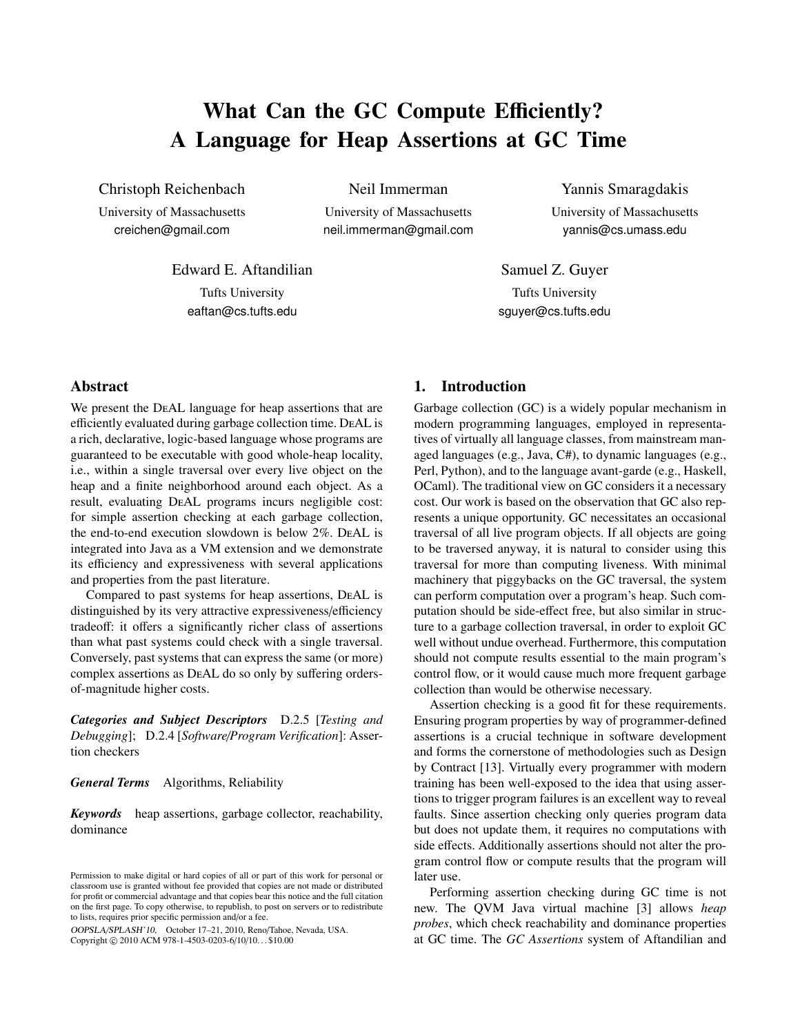# What Can the GC Compute Efficiently? A Language for Heap Assertions at GC Time

Christoph Reichenbach

University of Massachusetts creichen@gmail.com

Neil Immerman

University of Massachusetts neil.immerman@gmail.com

Edward E. Aftandilian Tufts University eaftan@cs.tufts.edu

Yannis Smaragdakis

University of Massachusetts yannis@cs.umass.edu

Samuel Z. Guyer Tufts University sguyer@cs.tufts.edu

# Abstract

We present the DeAL language for heap assertions that are efficiently evaluated during garbage collection time. DeAL is a rich, declarative, logic-based language whose programs are guaranteed to be executable with good whole-heap locality, i.e., within a single traversal over every live object on the heap and a finite neighborhood around each object. As a result, evaluating DeAL programs incurs negligible cost: for simple assertion checking at each garbage collection, the end-to-end execution slowdown is below 2%. DeAL is integrated into Java as a VM extension and we demonstrate its efficiency and expressiveness with several applications and properties from the past literature.

Compared to past systems for heap assertions, DeAL is distinguished by its very attractive expressiveness/efficiency tradeoff: it offers a significantly richer class of assertions than what past systems could check with a single traversal. Conversely, past systems that can express the same (or more) complex assertions as DeAL do so only by suffering ordersof-magnitude higher costs.

*Categories and Subject Descriptors* D.2.5 [*Testing and Debugging*]; D.2.4 [*Software*/*Program Verification*]: Assertion checkers

### *General Terms* Algorithms, Reliability

*Keywords* heap assertions, garbage collector, reachability, dominance

OOPSLA/SPLASH'10, October 17–21, 2010, Reno/Tahoe, Nevada, USA. Copyright © 2010 ACM 978-1-4503-0203-6/10/10... \$10.00

## 1. Introduction

Garbage collection (GC) is a widely popular mechanism in modern programming languages, employed in representatives of virtually all language classes, from mainstream managed languages (e.g., Java, C#), to dynamic languages (e.g., Perl, Python), and to the language avant-garde (e.g., Haskell, OCaml). The traditional view on GC considers it a necessary cost. Our work is based on the observation that GC also represents a unique opportunity. GC necessitates an occasional traversal of all live program objects. If all objects are going to be traversed anyway, it is natural to consider using this traversal for more than computing liveness. With minimal machinery that piggybacks on the GC traversal, the system can perform computation over a program's heap. Such computation should be side-effect free, but also similar in structure to a garbage collection traversal, in order to exploit GC well without undue overhead. Furthermore, this computation should not compute results essential to the main program's control flow, or it would cause much more frequent garbage collection than would be otherwise necessary.

Assertion checking is a good fit for these requirements. Ensuring program properties by way of programmer-defined assertions is a crucial technique in software development and forms the cornerstone of methodologies such as Design by Contract [13]. Virtually every programmer with modern training has been well-exposed to the idea that using assertions to trigger program failures is an excellent way to reveal faults. Since assertion checking only queries program data but does not update them, it requires no computations with side effects. Additionally assertions should not alter the program control flow or compute results that the program will later use.

Performing assertion checking during GC time is not new. The QVM Java virtual machine [3] allows *heap probes*, which check reachability and dominance properties at GC time. The *GC Assertions* system of Aftandilian and

Permission to make digital or hard copies of all or part of this work for personal or classroom use is granted without fee provided that copies are not made or distributed for profit or commercial advantage and that copies bear this notice and the full citation on the first page. To copy otherwise, to republish, to post on servers or to redistribute to lists, requires prior specific permission and/or a fee.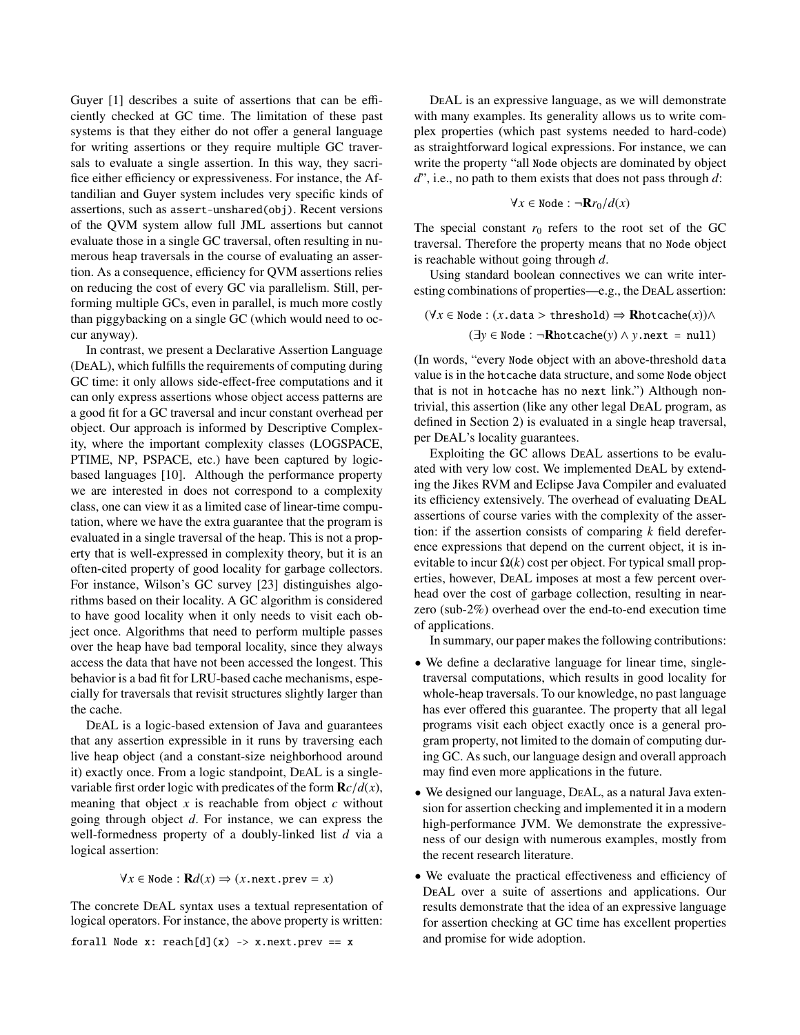Guyer [1] describes a suite of assertions that can be efficiently checked at GC time. The limitation of these past systems is that they either do not offer a general language for writing assertions or they require multiple GC traversals to evaluate a single assertion. In this way, they sacrifice either efficiency or expressiveness. For instance, the Aftandilian and Guyer system includes very specific kinds of assertions, such as assert-unshared(obj). Recent versions of the QVM system allow full JML assertions but cannot evaluate those in a single GC traversal, often resulting in numerous heap traversals in the course of evaluating an assertion. As a consequence, efficiency for QVM assertions relies on reducing the cost of every GC via parallelism. Still, performing multiple GCs, even in parallel, is much more costly than piggybacking on a single GC (which would need to occur anyway).

In contrast, we present a Declarative Assertion Language (DeAL), which fulfills the requirements of computing during GC time: it only allows side-effect-free computations and it can only express assertions whose object access patterns are a good fit for a GC traversal and incur constant overhead per object. Our approach is informed by Descriptive Complexity, where the important complexity classes (LOGSPACE, PTIME, NP, PSPACE, etc.) have been captured by logicbased languages [10]. Although the performance property we are interested in does not correspond to a complexity class, one can view it as a limited case of linear-time computation, where we have the extra guarantee that the program is evaluated in a single traversal of the heap. This is not a property that is well-expressed in complexity theory, but it is an often-cited property of good locality for garbage collectors. For instance, Wilson's GC survey [23] distinguishes algorithms based on their locality. A GC algorithm is considered to have good locality when it only needs to visit each object once. Algorithms that need to perform multiple passes over the heap have bad temporal locality, since they always access the data that have not been accessed the longest. This behavior is a bad fit for LRU-based cache mechanisms, especially for traversals that revisit structures slightly larger than the cache.

DeAL is a logic-based extension of Java and guarantees that any assertion expressible in it runs by traversing each live heap object (and a constant-size neighborhood around it) exactly once. From a logic standpoint, DeAL is a singlevariable first order logic with predicates of the form  $\mathbf{R}c/d(x)$ , meaning that object  $x$  is reachable from object  $c$  without going through object *d*. For instance, we can express the well-formedness property of a doubly-linked list *d* via a logical assertion:

∀*x* ∈ Node : R*d*(*x*) ⇒ (*x*.next.prev = *x*)

The concrete DeAL syntax uses a textual representation of logical operators. For instance, the above property is written:

$$
for all Node x: reach[d](x) \rightarrow x.next.prev == x
$$

DeAL is an expressive language, as we will demonstrate with many examples. Its generality allows us to write complex properties (which past systems needed to hard-code) as straightforward logical expressions. For instance, we can write the property "all Node objects are dominated by object *d*", i.e., no path to them exists that does not pass through *d*:

$$
\forall x \in \text{Node}: \neg \mathbf{R}r_0/d(x)
$$

The special constant  $r_0$  refers to the root set of the GC traversal. Therefore the property means that no Node object is reachable without going through *d*.

Using standard boolean connectives we can write interesting combinations of properties—e.g., the DeAL assertion:

$$
(\forall x \in \text{Node} : (x.\text{data} > \text{threshold}) \Rightarrow \text{Rhotcache}(x)) \land (\exists y \in \text{Node} : \neg \text{Rhotcache}(y) \land y.\text{next} = \text{null})
$$

(In words, "every Node object with an above-threshold data value is in the hotcache data structure, and some Node object that is not in hotcache has no next link.") Although nontrivial, this assertion (like any other legal DeAL program, as defined in Section 2) is evaluated in a single heap traversal, per DeAL's locality guarantees.

Exploiting the GC allows DeAL assertions to be evaluated with very low cost. We implemented DeAL by extending the Jikes RVM and Eclipse Java Compiler and evaluated its efficiency extensively. The overhead of evaluating DeAL assertions of course varies with the complexity of the assertion: if the assertion consists of comparing *k* field dereference expressions that depend on the current object, it is inevitable to incur  $\Omega(k)$  cost per object. For typical small properties, however, DeAL imposes at most a few percent overhead over the cost of garbage collection, resulting in nearzero (sub-2%) overhead over the end-to-end execution time of applications.

In summary, our paper makes the following contributions:

- We define a declarative language for linear time, singletraversal computations, which results in good locality for whole-heap traversals. To our knowledge, no past language has ever offered this guarantee. The property that all legal programs visit each object exactly once is a general program property, not limited to the domain of computing during GC. As such, our language design and overall approach may find even more applications in the future.
- We designed our language, DeAL, as a natural Java extension for assertion checking and implemented it in a modern high-performance JVM. We demonstrate the expressiveness of our design with numerous examples, mostly from the recent research literature.
- We evaluate the practical effectiveness and efficiency of DeAL over a suite of assertions and applications. Our results demonstrate that the idea of an expressive language for assertion checking at GC time has excellent properties and promise for wide adoption.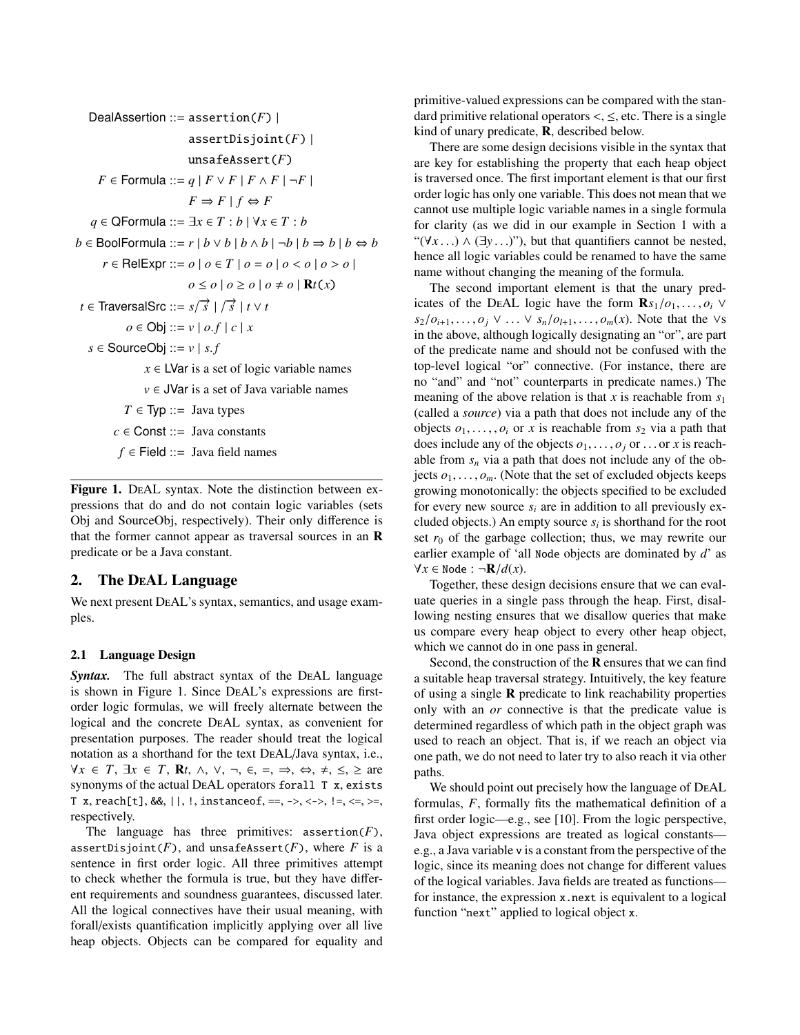```
DealAssertion  ::= assertion(F) |
                           assertDisjoint(F) |
                           unsafeAssert(F)
     F \in Formula ::= q | F \vee F | F \wedge F | \neg F |
                           F \Rightarrow F \mid f \Leftrightarrow Fq ∈ QFormula ::= ∃x ∈ T : b | ∀x ∈ T : b
b ∈ BoolFormula ::= r | b ∨ b | b ∧ b | \neg b | b \Rightarrow b | b \Leftrightarrow br ∈ RelExpr ::= o | o ∈ T | o = o | o < o | o > oo \leq o \mid o \geq o \mid o \neq o \mid \mathbf{R} t(x)t \in \text{TraversalSrc} :: = s/\overrightarrow{s} / \sqrt{\overrightarrow{s}} / t \vee to ∈ Obj ::= v | o. f | c | x
   s \in SourceObj ::= v \mid s.fx \in LVar is a set of logic variable names
                v ∈ JVar is a set of Java variable names
            T \in \text{Typ} ::= \text{Java types}c \in Const ::= Java constants
          f \in Field ::= Java field names
```
Figure 1. DeAL syntax. Note the distinction between expressions that do and do not contain logic variables (sets Obj and SourceObj, respectively). Their only difference is that the former cannot appear as traversal sources in an R predicate or be a Java constant.

# 2. The DeAL Language

We next present DeAL's syntax, semantics, and usage examples.

### 2.1 Language Design

*Syntax.* The full abstract syntax of the DeAL language is shown in Figure 1. Since DeAL's expressions are firstorder logic formulas, we will freely alternate between the logical and the concrete DeAL syntax, as convenient for presentation purposes. The reader should treat the logical notation as a shorthand for the text DeAL/Java syntax, i.e.,  $\forall x \in T$ ,  $\exists x \in T$ , **R***t*,  $\land$ ,  $\lor$ ,  $\neg$ ,  $\in$ ,  $\Rightarrow$ ,  $\Leftrightarrow$ ,  $\neq$ ,  $\leq$ ,  $\geq$  are synonyms of the actual DeAL operators forall T x, exists T x, reach[t], &&, ||, !, instanceof, ==, ->, <->, !=, <=, >=, respectively.

The language has three primitives: assertion(*F*), assertDisjoint( $F$ ), and unsafeAssert( $F$ ), where  $F$  is a sentence in first order logic. All three primitives attempt to check whether the formula is true, but they have different requirements and soundness guarantees, discussed later. All the logical connectives have their usual meaning, with forall/exists quantification implicitly applying over all live heap objects. Objects can be compared for equality and

primitive-valued expressions can be compared with the standard primitive relational operators  $\lt$ ,  $\leq$ , etc. There is a single kind of unary predicate, R, described below.

There are some design decisions visible in the syntax that are key for establishing the property that each heap object is traversed once. The first important element is that our first order logic has only one variable. This does not mean that we cannot use multiple logic variable names in a single formula for clarity (as we did in our example in Section 1 with a " $(\forall x \dots) \land (\exists y \dots)$ "), but that quantifiers cannot be nested, hence all logic variables could be renamed to have the same name without changing the meaning of the formula.

The second important element is that the unary predicates of the DEAL logic have the form  $\mathbf{R}s_1/o_1, \ldots, o_i$  ∨  $s_2/O_{i+1}, \ldots, O_i \vee \ldots \vee s_n/O_{l+1}, \ldots, O_m(x)$ . Note that the ∨s in the above, although logically designating an "or", are part of the predicate name and should not be confused with the top-level logical "or" connective. (For instance, there are no "and" and "not" counterparts in predicate names.) The meaning of the above relation is that  $x$  is reachable from  $s_1$ (called a *source*) via a path that does not include any of the objects  $o_1, \ldots, o_i$  or *x* is reachable from  $s_2$  via a path that does include any of the objects  $o_1, \ldots, o_j$  or  $\ldots$  or *x* is reachable from  $s_n$  via a path that does not include any of the objects  $o_1, \ldots, o_m$ . (Note that the set of excluded objects keeps growing monotonically: the objects specified to be excluded for every new source  $s_i$  are in addition to all previously excluded objects.) An empty source  $s_i$  is shorthand for the root set  $r_0$  of the garbage collection; thus, we may rewrite our earlier example of 'all Node objects are dominated by *d*' as  $\forall x \in \text{Node}: \neg \mathbf{R}/d(x)$ .

Together, these design decisions ensure that we can evaluate queries in a single pass through the heap. First, disallowing nesting ensures that we disallow queries that make us compare every heap object to every other heap object, which we cannot do in one pass in general.

Second, the construction of the R ensures that we can find a suitable heap traversal strategy. Intuitively, the key feature of using a single R predicate to link reachability properties only with an *or* connective is that the predicate value is determined regardless of which path in the object graph was used to reach an object. That is, if we reach an object via one path, we do not need to later try to also reach it via other paths.

We should point out precisely how the language of DeAL formulas, *F*, formally fits the mathematical definition of a first order logic—e.g., see [10]. From the logic perspective, Java object expressions are treated as logical constants e.g., a Java variable v is a constant from the perspective of the logic, since its meaning does not change for different values of the logical variables. Java fields are treated as functions for instance, the expression x.next is equivalent to a logical function "next" applied to logical object x.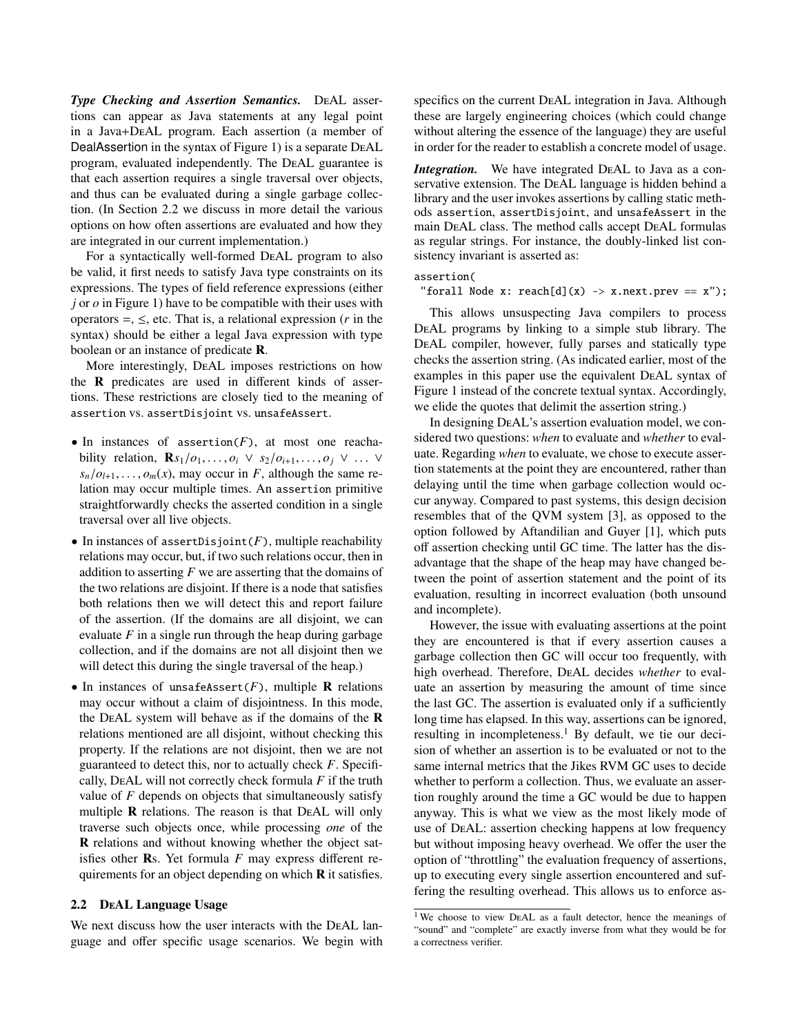*Type Checking and Assertion Semantics.* DeAL assertions can appear as Java statements at any legal point in a Java+DeAL program. Each assertion (a member of DealAssertion in the syntax of Figure 1) is a separate DeAL program, evaluated independently. The DeAL guarantee is that each assertion requires a single traversal over objects, and thus can be evaluated during a single garbage collection. (In Section 2.2 we discuss in more detail the various options on how often assertions are evaluated and how they are integrated in our current implementation.)

For a syntactically well-formed DeAL program to also be valid, it first needs to satisfy Java type constraints on its expressions. The types of field reference expressions (either *j* or *o* in Figure 1) have to be compatible with their uses with operators =, ≤, etc. That is, a relational expression (*r* in the syntax) should be either a legal Java expression with type boolean or an instance of predicate R.

More interestingly, DeAL imposes restrictions on how the R predicates are used in different kinds of assertions. These restrictions are closely tied to the meaning of assertion vs. assertDisjoint vs. unsafeAssert.

- In instances of assertion $(F)$ , at most one reachability relation,  $\mathbf{R}s_1/o_1, \ldots, o_i \vee s_2/o_{i+1}, \ldots, o_i \vee \ldots \vee$  $s_n/o_{l+1}, \ldots, o_m(x)$ , may occur in *F*, although the same relation may occur multiple times. An assertion primitive straightforwardly checks the asserted condition in a single traversal over all live objects.
- In instances of assertDisjoint $(F)$ , multiple reachability relations may occur, but, if two such relations occur, then in addition to asserting *F* we are asserting that the domains of the two relations are disjoint. If there is a node that satisfies both relations then we will detect this and report failure of the assertion. (If the domains are all disjoint, we can evaluate  $F$  in a single run through the heap during garbage collection, and if the domains are not all disjoint then we will detect this during the single traversal of the heap.)
- In instances of unsafeAssert $(F)$ , multiple **R** relations may occur without a claim of disjointness. In this mode, the DeAL system will behave as if the domains of the R relations mentioned are all disjoint, without checking this property. If the relations are not disjoint, then we are not guaranteed to detect this, nor to actually check *F*. Specifically, DeAL will not correctly check formula *F* if the truth value of *F* depends on objects that simultaneously satisfy multiple R relations. The reason is that DeAL will only traverse such objects once, while processing *one* of the R relations and without knowing whether the object satisfies other Rs. Yet formula *F* may express different requirements for an object depending on which R it satisfies.

### 2.2 DeAL Language Usage

We next discuss how the user interacts with the DeAL language and offer specific usage scenarios. We begin with

specifics on the current DeAL integration in Java. Although these are largely engineering choices (which could change without altering the essence of the language) they are useful in order for the reader to establish a concrete model of usage.

*Integration.* We have integrated DeAL to Java as a conservative extension. The DeAL language is hidden behind a library and the user invokes assertions by calling static methods assertion, assertDisjoint, and unsafeAssert in the main DeAL class. The method calls accept DeAL formulas as regular strings. For instance, the doubly-linked list consistency invariant is asserted as:

#### assertion(

"forall Node x: reach[d](x)  $\rightarrow$  x.next.prev == x");

This allows unsuspecting Java compilers to process DeAL programs by linking to a simple stub library. The DeAL compiler, however, fully parses and statically type checks the assertion string. (As indicated earlier, most of the examples in this paper use the equivalent DeAL syntax of Figure 1 instead of the concrete textual syntax. Accordingly, we elide the quotes that delimit the assertion string.)

In designing DeAL's assertion evaluation model, we considered two questions: *when* to evaluate and *whether* to evaluate. Regarding *when* to evaluate, we chose to execute assertion statements at the point they are encountered, rather than delaying until the time when garbage collection would occur anyway. Compared to past systems, this design decision resembles that of the QVM system [3], as opposed to the option followed by Aftandilian and Guyer [1], which puts off assertion checking until GC time. The latter has the disadvantage that the shape of the heap may have changed between the point of assertion statement and the point of its evaluation, resulting in incorrect evaluation (both unsound and incomplete).

However, the issue with evaluating assertions at the point they are encountered is that if every assertion causes a garbage collection then GC will occur too frequently, with high overhead. Therefore, DeAL decides *whether* to evaluate an assertion by measuring the amount of time since the last GC. The assertion is evaluated only if a sufficiently long time has elapsed. In this way, assertions can be ignored, resulting in incompleteness.<sup>1</sup> By default, we tie our decision of whether an assertion is to be evaluated or not to the same internal metrics that the Jikes RVM GC uses to decide whether to perform a collection. Thus, we evaluate an assertion roughly around the time a GC would be due to happen anyway. This is what we view as the most likely mode of use of DeAL: assertion checking happens at low frequency but without imposing heavy overhead. We offer the user the option of "throttling" the evaluation frequency of assertions, up to executing every single assertion encountered and suffering the resulting overhead. This allows us to enforce as-

<sup>&</sup>lt;sup>1</sup>We choose to view DEAL as a fault detector, hence the meanings of "sound" and "complete" are exactly inverse from what they would be for a correctness verifier.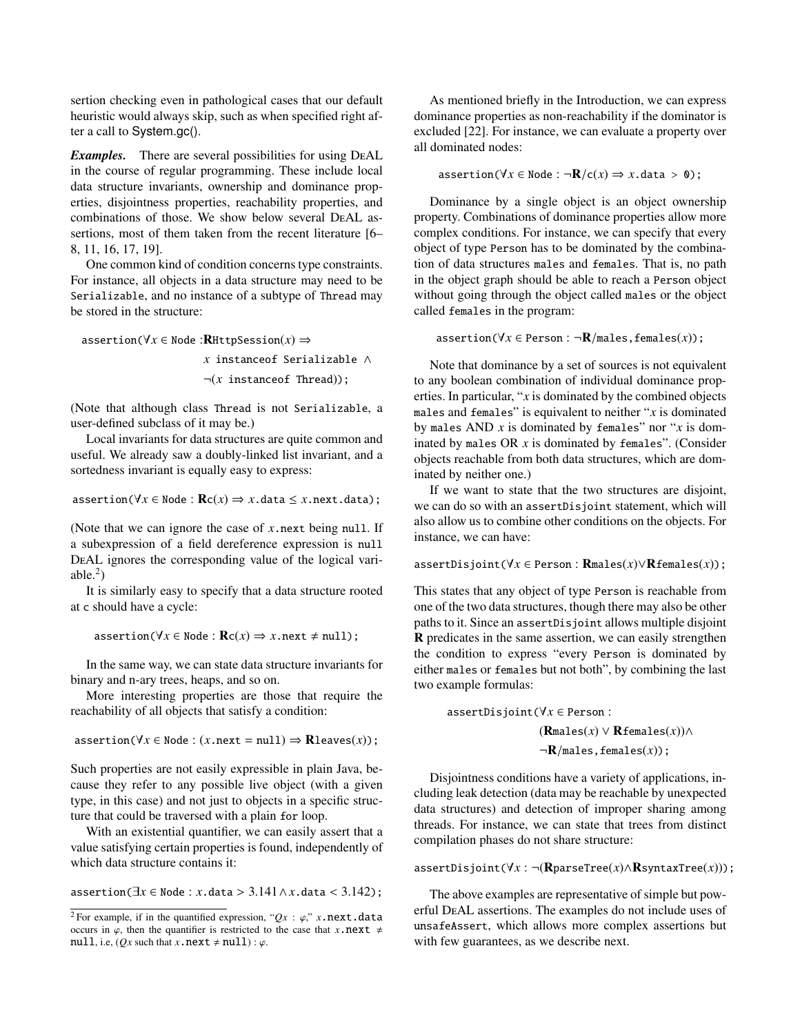sertion checking even in pathological cases that our default heuristic would always skip, such as when specified right after a call to System.gc().

*Examples.* There are several possibilities for using DeAL in the course of regular programming. These include local data structure invariants, ownership and dominance properties, disjointness properties, reachability properties, and combinations of those. We show below several DeAL assertions, most of them taken from the recent literature [6– 8, 11, 16, 17, 19].

One common kind of condition concerns type constraints. For instance, all objects in a data structure may need to be Serializable, and no instance of a subtype of Thread may be stored in the structure:

assertion(∀*x* ∈ Node :RHttpSession(*x*) ⇒ *x* instanceof Serializable ∧  $\neg(x$  instanceof Thread));

(Note that although class Thread is not Serializable, a user-defined subclass of it may be.)

Local invariants for data structures are quite common and useful. We already saw a doubly-linked list invariant, and a sortedness invariant is equally easy to express:

assertion( $\forall x \in \text{Node} : \mathbf{Rc}(x) \Rightarrow x \cdot \text{data} \leq x \cdot \text{next} \cdot \text{data}$ );

(Note that we can ignore the case of *x*.next being null. If a subexpression of a field dereference expression is null DeAL ignores the corresponding value of the logical variable. $2)$ 

It is similarly easy to specify that a data structure rooted at c should have a cycle:

assertion( $∀x ∈ Node : \mathbf{Rc}(x) ⇒ x.next ≠ null$ );

In the same way, we can state data structure invariants for binary and n-ary trees, heaps, and so on.

More interesting properties are those that require the reachability of all objects that satisfy a condition:

assertion( $\forall x \in \text{Node} : (x.\text{next} = \text{null}) \Rightarrow \mathbf{R}$ leaves(*x*));

Such properties are not easily expressible in plain Java, because they refer to any possible live object (with a given type, in this case) and not just to objects in a specific structure that could be traversed with a plain for loop.

With an existential quantifier, we can easily assert that a value satisfying certain properties is found, independently of which data structure contains it:

assertion( $\exists x \in \text{Node} : x \cdot \text{data} > 3.141 \land x \cdot \text{data} < 3.142$ );

As mentioned briefly in the Introduction, we can express dominance properties as non-reachability if the dominator is excluded [22]. For instance, we can evaluate a property over all dominated nodes:

assertion( $\forall x \in \text{Node} : \neg \mathbf{R}/c(x) \Rightarrow x \cdot data > 0$ );

Dominance by a single object is an object ownership property. Combinations of dominance properties allow more complex conditions. For instance, we can specify that every object of type Person has to be dominated by the combination of data structures males and females. That is, no path in the object graph should be able to reach a Person object without going through the object called males or the object called females in the program:

assertion( $\forall x \in$  Person :  $\neg$ **R**/males, females(*x*));

Note that dominance by a set of sources is not equivalent to any boolean combination of individual dominance properties. In particular, "*x* is dominated by the combined objects males and females" is equivalent to neither "*x* is dominated by males AND *x* is dominated by females" nor "*x* is dominated by males OR *x* is dominated by females". (Consider objects reachable from both data structures, which are dominated by neither one.)

If we want to state that the two structures are disjoint, we can do so with an assertDisjoint statement, which will also allow us to combine other conditions on the objects. For instance, we can have:

assertDisjoint(∀*x* ∈ Person : Rmales(*x*)∨Rfemales(*x*));

This states that any object of type Person is reachable from one of the two data structures, though there may also be other paths to it. Since an assertDisjoint allows multiple disjoint R predicates in the same assertion, we can easily strengthen the condition to express "every Person is dominated by either males or females but not both", by combining the last two example formulas:

> assertDisjoint(∀*x* ∈ Person : (Rmales(*x*) ∨ Rfemales(*x*))∧  $\neg$ **R**/males, females(x));

Disjointness conditions have a variety of applications, including leak detection (data may be reachable by unexpected data structures) and detection of improper sharing among threads. For instance, we can state that trees from distinct compilation phases do not share structure:

assertDisjoint(∀*x* : ¬(RparseTree(*x*)∧RsyntaxTree(*x*)));

The above examples are representative of simple but powerful DeAL assertions. The examples do not include uses of unsafeAssert, which allows more complex assertions but with few guarantees, as we describe next.

<sup>&</sup>lt;sup>2</sup> For example, if in the quantified expression, " $Qx : \varphi$ ,"  $x$ .next.data occurs in  $\varphi$ , then the quantifier is restricted to the case that *x*.next  $\neq$ null, i.e,  $(Qx \text{ such that } x \text{ .next } \neq \text{null}) : \varphi$ .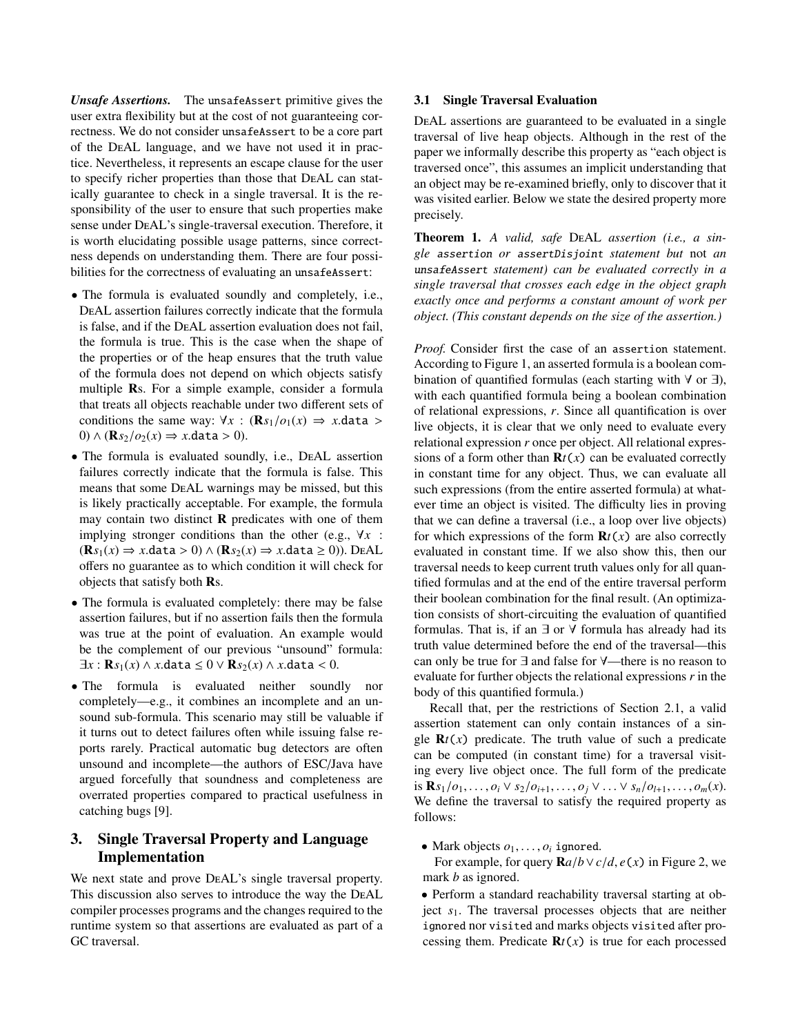*Unsafe Assertions.* The unsafeAssert primitive gives the user extra flexibility but at the cost of not guaranteeing correctness. We do not consider unsafeAssert to be a core part of the DeAL language, and we have not used it in practice. Nevertheless, it represents an escape clause for the user to specify richer properties than those that DeAL can statically guarantee to check in a single traversal. It is the responsibility of the user to ensure that such properties make sense under DeAL's single-traversal execution. Therefore, it is worth elucidating possible usage patterns, since correctness depends on understanding them. There are four possibilities for the correctness of evaluating an unsafeAssert:

- The formula is evaluated soundly and completely, i.e., DeAL assertion failures correctly indicate that the formula is false, and if the DeAL assertion evaluation does not fail, the formula is true. This is the case when the shape of the properties or of the heap ensures that the truth value of the formula does not depend on which objects satisfy multiple Rs. For a simple example, consider a formula that treats all objects reachable under two different sets of conditions the same way:  $\forall x : (\mathbf{R}s_1/o_1(x)) \Rightarrow x.\text{data} >$ 0)  $\land$  ( $\mathbf{R}s_2/\rho_2(x) \Rightarrow x$ .data > 0).
- The formula is evaluated soundly, i.e., DeAL assertion failures correctly indicate that the formula is false. This means that some DeAL warnings may be missed, but this is likely practically acceptable. For example, the formula may contain two distinct  **predicates with one of them** implying stronger conditions than the other (e.g., ∀*x* :  $(Rs_1(x)$  ⇒ *x*.data > 0) ∧  $(Rs_2(x)$  ⇒ *x*.data ≥ 0)). DeAL offers no guarantee as to which condition it will check for objects that satisfy both Rs.
- The formula is evaluated completely: there may be false assertion failures, but if no assertion fails then the formula was true at the point of evaluation. An example would be the complement of our previous "unsound" formula:  $\exists x : \mathbf{R}s_1(x) \wedge x$ .data  $\leq 0 \vee \mathbf{R}s_2(x) \wedge x$ .data  $\leq 0$ .
- The formula is evaluated neither soundly nor completely—e.g., it combines an incomplete and an unsound sub-formula. This scenario may still be valuable if it turns out to detect failures often while issuing false reports rarely. Practical automatic bug detectors are often unsound and incomplete—the authors of ESC/Java have argued forcefully that soundness and completeness are overrated properties compared to practical usefulness in catching bugs [9].

# 3. Single Traversal Property and Language Implementation

We next state and prove DeAL's single traversal property. This discussion also serves to introduce the way the DeAL compiler processes programs and the changes required to the runtime system so that assertions are evaluated as part of a GC traversal.

### 3.1 Single Traversal Evaluation

DeAL assertions are guaranteed to be evaluated in a single traversal of live heap objects. Although in the rest of the paper we informally describe this property as "each object is traversed once", this assumes an implicit understanding that an object may be re-examined briefly, only to discover that it was visited earlier. Below we state the desired property more precisely.

Theorem 1. *A valid, safe* DeAL *assertion (i.e., a single* assertion *or* assertDisjoint *statement but* not *an* unsafeAssert *statement) can be evaluated correctly in a single traversal that crosses each edge in the object graph exactly once and performs a constant amount of work per object. (This constant depends on the size of the assertion.)*

*Proof.* Consider first the case of an assertion statement. According to Figure 1, an asserted formula is a boolean combination of quantified formulas (each starting with ∀ or ∃), with each quantified formula being a boolean combination of relational expressions, *r*. Since all quantification is over live objects, it is clear that we only need to evaluate every relational expression *r* once per object. All relational expressions of a form other than  $\mathbf{R}t(x)$  can be evaluated correctly in constant time for any object. Thus, we can evaluate all such expressions (from the entire asserted formula) at whatever time an object is visited. The difficulty lies in proving that we can define a traversal (i.e., a loop over live objects) for which expressions of the form  $\mathbf{R}t(x)$  are also correctly evaluated in constant time. If we also show this, then our traversal needs to keep current truth values only for all quantified formulas and at the end of the entire traversal perform their boolean combination for the final result. (An optimization consists of short-circuiting the evaluation of quantified formulas. That is, if an  $\exists$  or  $\forall$  formula has already had its truth value determined before the end of the traversal—this can only be true for ∃ and false for ∀—there is no reason to evaluate for further objects the relational expressions *r* in the body of this quantified formula.)

Recall that, per the restrictions of Section 2.1, a valid assertion statement can only contain instances of a single  $\mathbf{R}t(x)$  predicate. The truth value of such a predicate can be computed (in constant time) for a traversal visiting every live object once. The full form of the predicate is  $\mathbf{R}s_1/\rho_1, \ldots, \rho_i \vee s_2/\rho_{i+1}, \ldots, \rho_i \vee \ldots \vee s_n/\rho_{i+1}, \ldots, \rho_m(x)$ . We define the traversal to satisfy the required property as follows:

• Mark objects  $o_1, \ldots, o_i$  ignored.

For example, for query  $\mathbf{R}a/b \vee c/d$ ,  $e(x)$  in Figure 2, we mark *b* as ignored.

• Perform a standard reachability traversal starting at object *s*1. The traversal processes objects that are neither ignored nor visited and marks objects visited after processing them. Predicate  $\mathbf{R}t(x)$  is true for each processed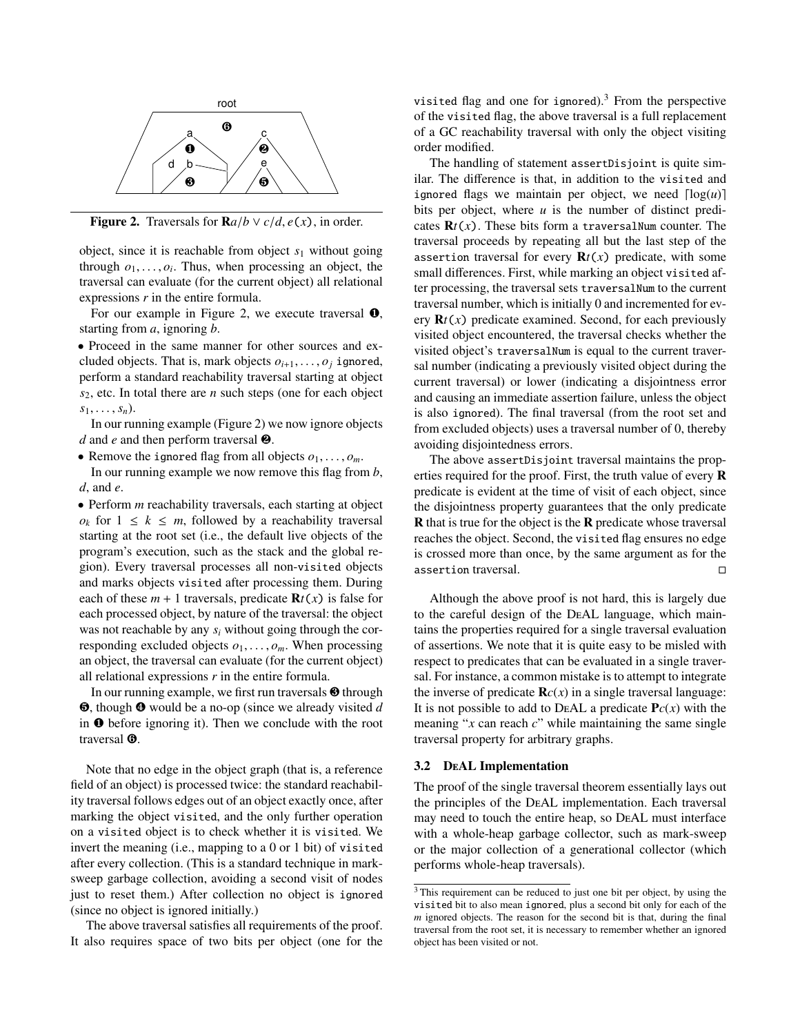

Figure 2. Traversals for  $\mathbf{R}a/b \vee c/d, e(x)$ , in order.

object, since it is reachable from object  $s_1$  without going through  $o_1, \ldots, o_i$ . Thus, when processing an object, the traversal can evaluate (for the current object) all relational traversal can evaluate (for the current object) all relational expressions *r* in the entire formula.

For our example in Figure 2, we execute traversal  $\bullet$ , starting from *a*, ignoring *b*.

• Proceed in the same manner for other sources and excluded objects. That is, mark objects  $o_{i+1}, \ldots, o_i$  ignored, perform a standard reachability traversal starting at object *s*2, etc. In total there are *n* such steps (one for each object  $s_1, \ldots, s_n$ ).

In our running example (Figure 2) we now ignore objects *d* and *e* and then perform traversal ❷.

• Remove the ignored flag from all objects  $o_1, \ldots, o_m$ .

In our running example we now remove this flag from *b*, *d*, and *e*.

• Perform *m* reachability traversals, each starting at object  $o_k$  for  $1 \leq k \leq m$ , followed by a reachability traversal starting at the root set (i.e., the default live objects of the program's execution, such as the stack and the global region). Every traversal processes all non-visited objects and marks objects visited after processing them. During each of these  $m + 1$  traversals, predicate  $\mathbf{R}t(x)$  is false for each processed object, by nature of the traversal: the object was not reachable by any *s<sup>i</sup>* without going through the corresponding excluded objects  $o_1, \ldots, o_m$ . When processing an object, the traversal can evaluate (for the current object) all relational expressions *r* in the entire formula.

In our running example, we first run traversals ❸ through ❺, though ❹ would be a no-op (since we already visited *d* in  $\bullet$  before ignoring it). Then we conclude with the root traversal ❻.

Note that no edge in the object graph (that is, a reference field of an object) is processed twice: the standard reachability traversal follows edges out of an object exactly once, after marking the object visited, and the only further operation on a visited object is to check whether it is visited. We invert the meaning (i.e., mapping to a 0 or 1 bit) of visited after every collection. (This is a standard technique in marksweep garbage collection, avoiding a second visit of nodes just to reset them.) After collection no object is ignored (since no object is ignored initially.)

The above traversal satisfies all requirements of the proof. It also requires space of two bits per object (one for the visited flag and one for ignored). $3$  From the perspective of the visited flag, the above traversal is a full replacement of a GC reachability traversal with only the object visiting order modified.

The handling of statement assertDisjoint is quite similar. The difference is that, in addition to the visited and ignored flags we maintain per object, we need  $\lceil \log(u) \rceil$ bits per object, where *u* is the number of distinct predicates  $\mathbf{R}t(x)$ . These bits form a traversalNum counter. The traversal proceeds by repeating all but the last step of the assertion traversal for every  $\mathbf{R}t(x)$  predicate, with some small differences. First, while marking an object visited after processing, the traversal sets traversalNum to the current traversal number, which is initially 0 and incremented for every  $\mathbf{R}t(x)$  predicate examined. Second, for each previously visited object encountered, the traversal checks whether the visited object's traversalNum is equal to the current traversal number (indicating a previously visited object during the current traversal) or lower (indicating a disjointness error and causing an immediate assertion failure, unless the object is also ignored). The final traversal (from the root set and from excluded objects) uses a traversal number of 0, thereby avoiding disjointedness errors.

The above assertDisjoint traversal maintains the properties required for the proof. First, the truth value of every R predicate is evident at the time of visit of each object, since the disjointness property guarantees that the only predicate R that is true for the object is the R predicate whose traversal reaches the object. Second, the visited flag ensures no edge is crossed more than once, by the same argument as for the assertion traversal.

Although the above proof is not hard, this is largely due to the careful design of the DeAL language, which maintains the properties required for a single traversal evaluation of assertions. We note that it is quite easy to be misled with respect to predicates that can be evaluated in a single traversal. For instance, a common mistake is to attempt to integrate the inverse of predicate  $\mathbf{R}c(x)$  in a single traversal language: It is not possible to add to DEAL a predicate  $Pc(x)$  with the meaning "*x* can reach *c*" while maintaining the same single traversal property for arbitrary graphs.

### 3.2 DeAL Implementation

The proof of the single traversal theorem essentially lays out the principles of the DeAL implementation. Each traversal may need to touch the entire heap, so DeAL must interface with a whole-heap garbage collector, such as mark-sweep or the major collection of a generational collector (which performs whole-heap traversals).

 $3$ This requirement can be reduced to just one bit per object, by using the visited bit to also mean ignored, plus a second bit only for each of the *m* ignored objects. The reason for the second bit is that, during the final traversal from the root set, it is necessary to remember whether an ignored object has been visited or not.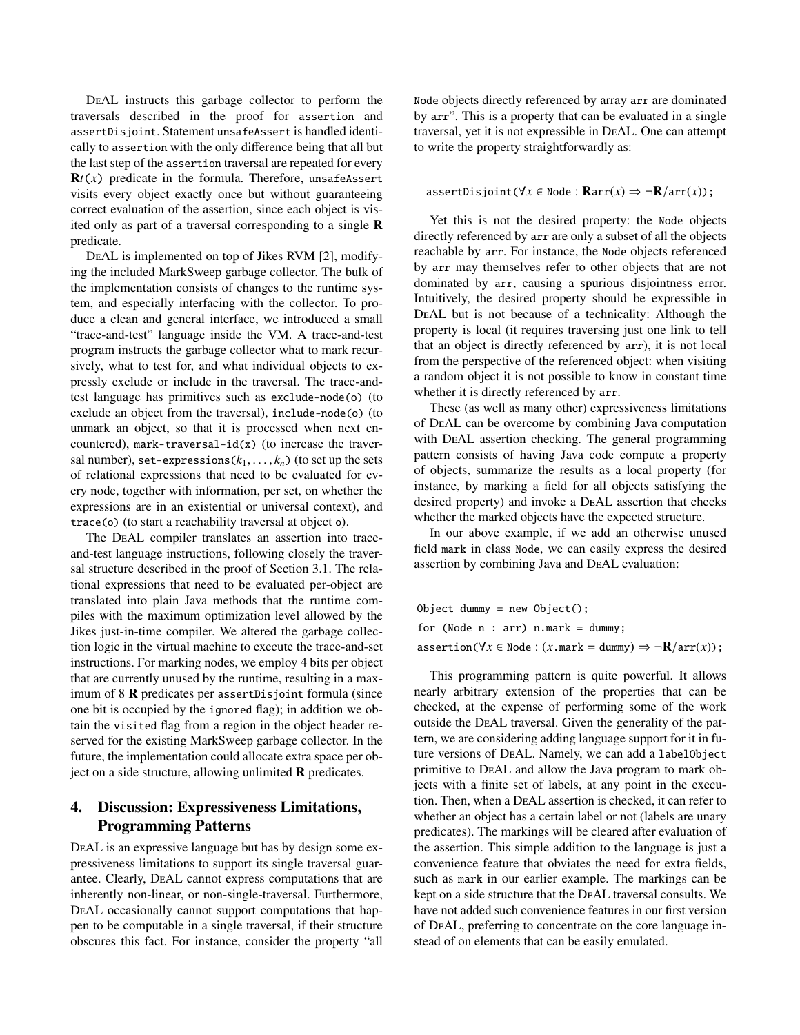DeAL instructs this garbage collector to perform the traversals described in the proof for assertion and assertDisjoint. Statement unsafeAssert is handled identically to assertion with the only difference being that all but the last step of the assertion traversal are repeated for every  $Rt(x)$  predicate in the formula. Therefore, unsafeAssert visits every object exactly once but without guaranteeing correct evaluation of the assertion, since each object is visited only as part of a traversal corresponding to a single R predicate.

DeAL is implemented on top of Jikes RVM [2], modifying the included MarkSweep garbage collector. The bulk of the implementation consists of changes to the runtime system, and especially interfacing with the collector. To produce a clean and general interface, we introduced a small "trace-and-test" language inside the VM. A trace-and-test program instructs the garbage collector what to mark recursively, what to test for, and what individual objects to expressly exclude or include in the traversal. The trace-andtest language has primitives such as exclude-node(o) (to exclude an object from the traversal), include-node(o) (to unmark an object, so that it is processed when next encountered), mark-traversal- $id(x)$  (to increase the traversal number), set-expressions  $(k_1, \ldots, k_n)$  (to set up the sets of relational expressions that need to be evaluated for every node, together with information, per set, on whether the expressions are in an existential or universal context), and trace(o) (to start a reachability traversal at object o).

The DeAL compiler translates an assertion into traceand-test language instructions, following closely the traversal structure described in the proof of Section 3.1. The relational expressions that need to be evaluated per-object are translated into plain Java methods that the runtime compiles with the maximum optimization level allowed by the Jikes just-in-time compiler. We altered the garbage collection logic in the virtual machine to execute the trace-and-set instructions. For marking nodes, we employ 4 bits per object that are currently unused by the runtime, resulting in a maximum of 8 R predicates per assertDisjoint formula (since one bit is occupied by the ignored flag); in addition we obtain the visited flag from a region in the object header reserved for the existing MarkSweep garbage collector. In the future, the implementation could allocate extra space per object on a side structure, allowing unlimited  $\bf{R}$  predicates.

# 4. Discussion: Expressiveness Limitations, Programming Patterns

DeAL is an expressive language but has by design some expressiveness limitations to support its single traversal guarantee. Clearly, DeAL cannot express computations that are inherently non-linear, or non-single-traversal. Furthermore, DeAL occasionally cannot support computations that happen to be computable in a single traversal, if their structure obscures this fact. For instance, consider the property "all Node objects directly referenced by array arr are dominated by arr". This is a property that can be evaluated in a single traversal, yet it is not expressible in DeAL. One can attempt to write the property straightforwardly as:

### assertDisjoint( $\forall x \in \text{Node} : \text{Rarr}(x) \Rightarrow \neg \textbf{R} / \text{arr}(x)$ );

Yet this is not the desired property: the Node objects directly referenced by arr are only a subset of all the objects reachable by arr. For instance, the Node objects referenced by arr may themselves refer to other objects that are not dominated by arr, causing a spurious disjointness error. Intuitively, the desired property should be expressible in DeAL but is not because of a technicality: Although the property is local (it requires traversing just one link to tell that an object is directly referenced by arr), it is not local from the perspective of the referenced object: when visiting a random object it is not possible to know in constant time whether it is directly referenced by arr.

These (as well as many other) expressiveness limitations of DeAL can be overcome by combining Java computation with DeAL assertion checking. The general programming pattern consists of having Java code compute a property of objects, summarize the results as a local property (for instance, by marking a field for all objects satisfying the desired property) and invoke a DeAL assertion that checks whether the marked objects have the expected structure.

In our above example, if we add an otherwise unused field mark in class Node, we can easily express the desired assertion by combining Java and DeAL evaluation:

Object dummy = new Object(); for (Node  $n : arr$ )  $n.maxk = dummy$ ; assertion( $\forall x \in \text{Node} : (x.\text{mark} = \text{dummy}) \Rightarrow \neg \mathbf{R}/\text{arr}(x)$ );

This programming pattern is quite powerful. It allows nearly arbitrary extension of the properties that can be checked, at the expense of performing some of the work outside the DeAL traversal. Given the generality of the pattern, we are considering adding language support for it in future versions of DeAL. Namely, we can add a labelObject primitive to DeAL and allow the Java program to mark objects with a finite set of labels, at any point in the execution. Then, when a DeAL assertion is checked, it can refer to whether an object has a certain label or not (labels are unary predicates). The markings will be cleared after evaluation of the assertion. This simple addition to the language is just a convenience feature that obviates the need for extra fields, such as mark in our earlier example. The markings can be kept on a side structure that the DeAL traversal consults. We have not added such convenience features in our first version of DeAL, preferring to concentrate on the core language instead of on elements that can be easily emulated.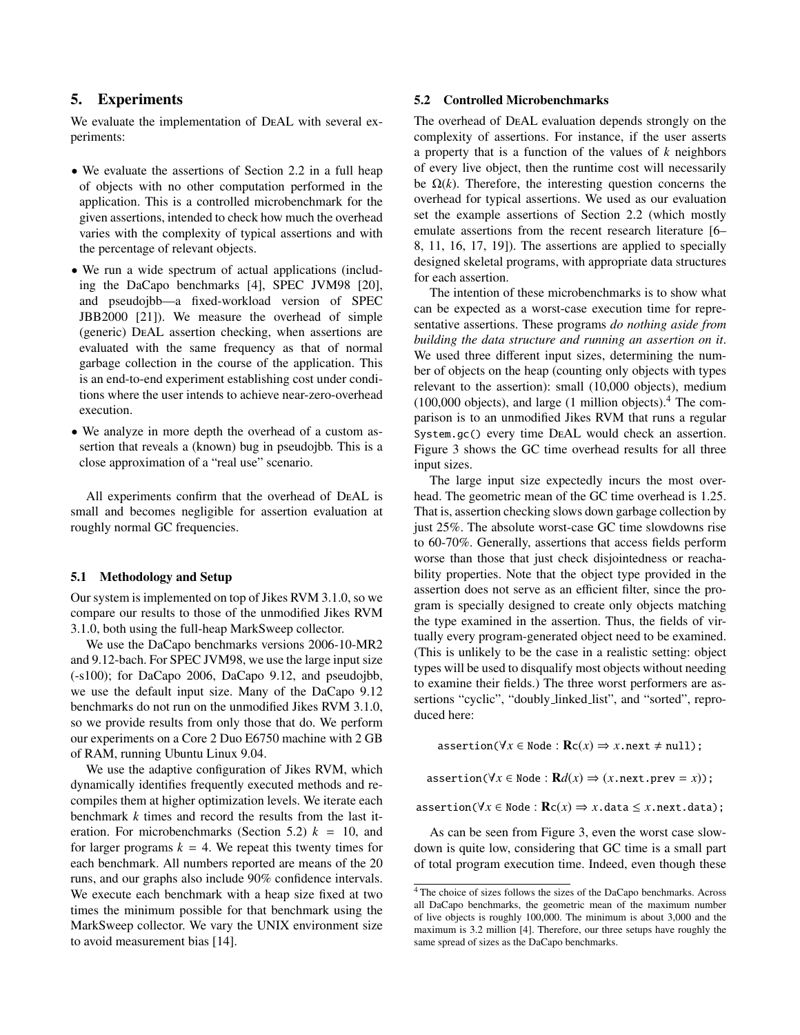# 5. Experiments

We evaluate the implementation of DeAL with several experiments:

- We evaluate the assertions of Section 2.2 in a full heap of objects with no other computation performed in the application. This is a controlled microbenchmark for the given assertions, intended to check how much the overhead varies with the complexity of typical assertions and with the percentage of relevant objects.
- We run a wide spectrum of actual applications (including the DaCapo benchmarks [4], SPEC JVM98 [20], and pseudojbb—a fixed-workload version of SPEC JBB2000 [21]). We measure the overhead of simple (generic) DeAL assertion checking, when assertions are evaluated with the same frequency as that of normal garbage collection in the course of the application. This is an end-to-end experiment establishing cost under conditions where the user intends to achieve near-zero-overhead execution.
- We analyze in more depth the overhead of a custom assertion that reveals a (known) bug in pseudojbb. This is a close approximation of a "real use" scenario.

All experiments confirm that the overhead of DeAL is small and becomes negligible for assertion evaluation at roughly normal GC frequencies.

### 5.1 Methodology and Setup

Our system is implemented on top of Jikes RVM 3.1.0, so we compare our results to those of the unmodified Jikes RVM 3.1.0, both using the full-heap MarkSweep collector.

We use the DaCapo benchmarks versions 2006-10-MR2 and 9.12-bach. For SPEC JVM98, we use the large input size (-s100); for DaCapo 2006, DaCapo 9.12, and pseudojbb, we use the default input size. Many of the DaCapo 9.12 benchmarks do not run on the unmodified Jikes RVM 3.1.0, so we provide results from only those that do. We perform our experiments on a Core 2 Duo E6750 machine with 2 GB of RAM, running Ubuntu Linux 9.04.

We use the adaptive configuration of Jikes RVM, which dynamically identifies frequently executed methods and recompiles them at higher optimization levels. We iterate each benchmark *k* times and record the results from the last iteration. For microbenchmarks (Section 5.2)  $k = 10$ , and for larger programs  $k = 4$ . We repeat this twenty times for each benchmark. All numbers reported are means of the 20 runs, and our graphs also include 90% confidence intervals. We execute each benchmark with a heap size fixed at two times the minimum possible for that benchmark using the MarkSweep collector. We vary the UNIX environment size to avoid measurement bias [14].

### 5.2 Controlled Microbenchmarks

The overhead of DeAL evaluation depends strongly on the complexity of assertions. For instance, if the user asserts a property that is a function of the values of *k* neighbors of every live object, then the runtime cost will necessarily be  $\Omega(k)$ . Therefore, the interesting question concerns the overhead for typical assertions. We used as our evaluation set the example assertions of Section 2.2 (which mostly emulate assertions from the recent research literature [6– 8, 11, 16, 17, 19]). The assertions are applied to specially designed skeletal programs, with appropriate data structures for each assertion.

The intention of these microbenchmarks is to show what can be expected as a worst-case execution time for representative assertions. These programs *do nothing aside from building the data structure and running an assertion on it*. We used three different input sizes, determining the number of objects on the heap (counting only objects with types relevant to the assertion): small (10,000 objects), medium  $(100,000 \text{ objects})$ , and large  $(1 \text{ million objects})$ . <sup>4</sup> The comparison is to an unmodified Jikes RVM that runs a regular System.gc() every time DeAL would check an assertion. Figure 3 shows the GC time overhead results for all three input sizes.

The large input size expectedly incurs the most overhead. The geometric mean of the GC time overhead is 1.25. That is, assertion checking slows down garbage collection by just 25%. The absolute worst-case GC time slowdowns rise to 60-70%. Generally, assertions that access fields perform worse than those that just check disjointedness or reachability properties. Note that the object type provided in the assertion does not serve as an efficient filter, since the program is specially designed to create only objects matching the type examined in the assertion. Thus, the fields of virtually every program-generated object need to be examined. (This is unlikely to be the case in a realistic setting: object types will be used to disqualify most objects without needing to examine their fields.) The three worst performers are assertions "cyclic", "doubly\_linked\_list", and "sorted", reproduced here:

assertion( $\forall x \in \text{Node} : \mathbf{Rc}(x) \Rightarrow x.\text{next} \neq \text{null};$ 

assertion( $\forall x \in \text{Node} : \mathbf{R}d(x) \Rightarrow (x.\text{next}.prev = x)$ );

assertion( $\forall x \in \text{Node} : \mathbf{Rc}(x) \Rightarrow x \cdot data \leq x \cdot next \cdot data$ );

As can be seen from Figure 3, even the worst case slowdown is quite low, considering that GC time is a small part of total program execution time. Indeed, even though these

<sup>&</sup>lt;sup>4</sup>The choice of sizes follows the sizes of the DaCapo benchmarks. Across all DaCapo benchmarks, the geometric mean of the maximum number of live objects is roughly 100,000. The minimum is about 3,000 and the maximum is 3.2 million [4]. Therefore, our three setups have roughly the same spread of sizes as the DaCapo benchmarks.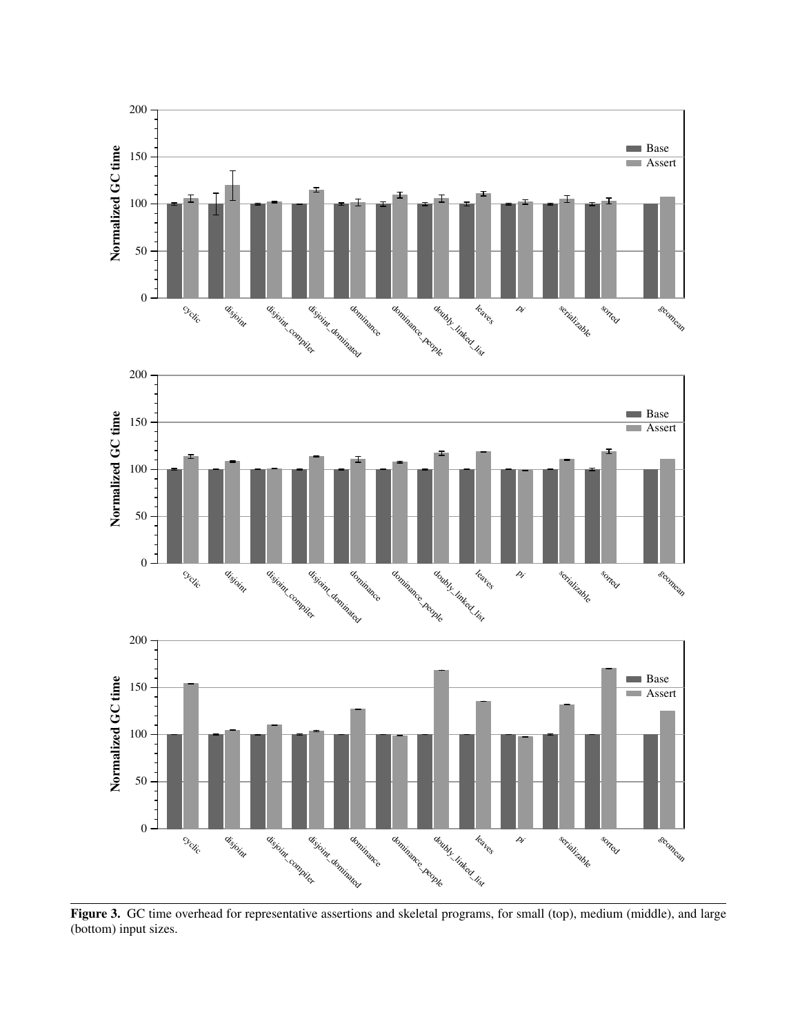

Figure 3. GC time overhead for representative assertions and skeletal programs, for small (top), medium (middle), and large (bottom) input sizes.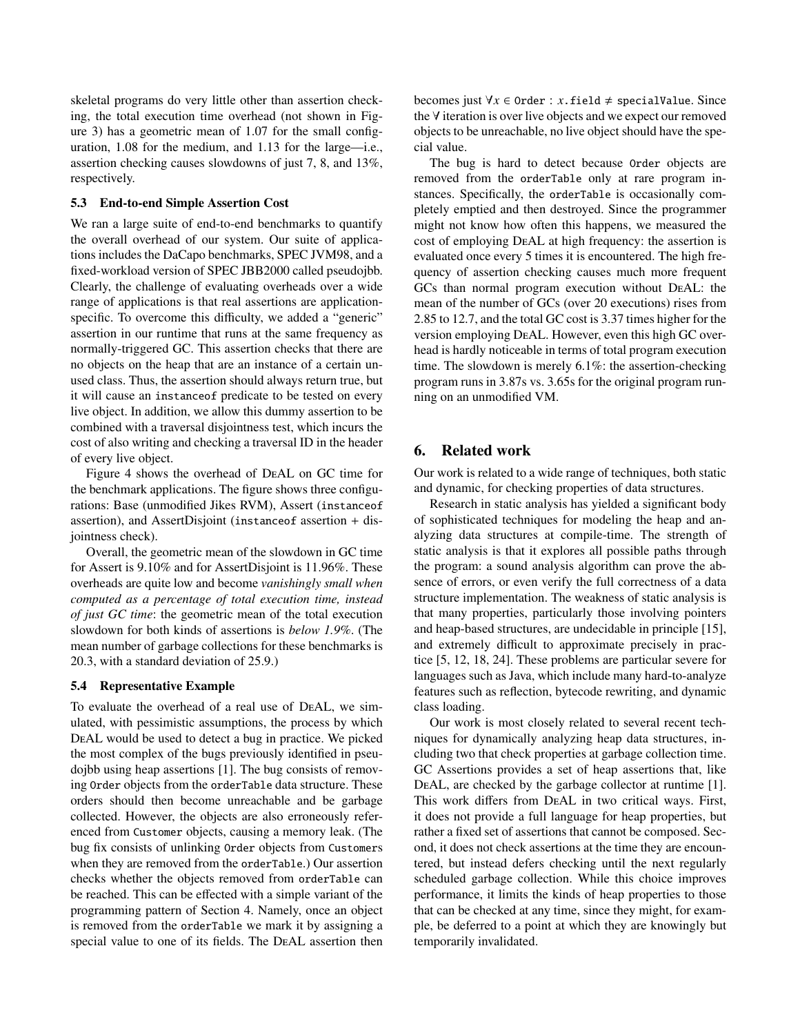skeletal programs do very little other than assertion checking, the total execution time overhead (not shown in Figure 3) has a geometric mean of 1.07 for the small configuration, 1.08 for the medium, and 1.13 for the large—i.e., assertion checking causes slowdowns of just 7, 8, and 13%, respectively.

### 5.3 End-to-end Simple Assertion Cost

We ran a large suite of end-to-end benchmarks to quantify the overall overhead of our system. Our suite of applications includes the DaCapo benchmarks, SPEC JVM98, and a fixed-workload version of SPEC JBB2000 called pseudojbb. Clearly, the challenge of evaluating overheads over a wide range of applications is that real assertions are applicationspecific. To overcome this difficulty, we added a "generic" assertion in our runtime that runs at the same frequency as normally-triggered GC. This assertion checks that there are no objects on the heap that are an instance of a certain unused class. Thus, the assertion should always return true, but it will cause an instanceof predicate to be tested on every live object. In addition, we allow this dummy assertion to be combined with a traversal disjointness test, which incurs the cost of also writing and checking a traversal ID in the header of every live object.

Figure 4 shows the overhead of DeAL on GC time for the benchmark applications. The figure shows three configurations: Base (unmodified Jikes RVM), Assert (instanceof assertion), and AssertDisjoint (instanceof assertion + disjointness check).

Overall, the geometric mean of the slowdown in GC time for Assert is 9.10% and for AssertDisjoint is 11.96%. These overheads are quite low and become *vanishingly small when computed as a percentage of total execution time, instead of just GC time*: the geometric mean of the total execution slowdown for both kinds of assertions is *below 1.9%*. (The mean number of garbage collections for these benchmarks is 20.3, with a standard deviation of 25.9.)

#### 5.4 Representative Example

To evaluate the overhead of a real use of DeAL, we simulated, with pessimistic assumptions, the process by which DeAL would be used to detect a bug in practice. We picked the most complex of the bugs previously identified in pseudojbb using heap assertions [1]. The bug consists of removing Order objects from the orderTable data structure. These orders should then become unreachable and be garbage collected. However, the objects are also erroneously referenced from Customer objects, causing a memory leak. (The bug fix consists of unlinking Order objects from Customers when they are removed from the orderTable.) Our assertion checks whether the objects removed from orderTable can be reached. This can be effected with a simple variant of the programming pattern of Section 4. Namely, once an object is removed from the orderTable we mark it by assigning a special value to one of its fields. The DeAL assertion then

becomes just  $\forall x \in \text{Order} : x \text{.field } \neq \text{specialValue. Since}$ the ∀ iteration is over live objects and we expect our removed objects to be unreachable, no live object should have the special value.

The bug is hard to detect because Order objects are removed from the orderTable only at rare program instances. Specifically, the orderTable is occasionally completely emptied and then destroyed. Since the programmer might not know how often this happens, we measured the cost of employing DeAL at high frequency: the assertion is evaluated once every 5 times it is encountered. The high frequency of assertion checking causes much more frequent GCs than normal program execution without DeAL: the mean of the number of GCs (over 20 executions) rises from 2.85 to 12.7, and the total GC cost is 3.37 times higher for the version employing DeAL. However, even this high GC overhead is hardly noticeable in terms of total program execution time. The slowdown is merely 6.1%: the assertion-checking program runs in 3.87s vs. 3.65s for the original program running on an unmodified VM.

# 6. Related work

Our work is related to a wide range of techniques, both static and dynamic, for checking properties of data structures.

Research in static analysis has yielded a significant body of sophisticated techniques for modeling the heap and analyzing data structures at compile-time. The strength of static analysis is that it explores all possible paths through the program: a sound analysis algorithm can prove the absence of errors, or even verify the full correctness of a data structure implementation. The weakness of static analysis is that many properties, particularly those involving pointers and heap-based structures, are undecidable in principle [15], and extremely difficult to approximate precisely in practice [5, 12, 18, 24]. These problems are particular severe for languages such as Java, which include many hard-to-analyze features such as reflection, bytecode rewriting, and dynamic class loading.

Our work is most closely related to several recent techniques for dynamically analyzing heap data structures, including two that check properties at garbage collection time. GC Assertions provides a set of heap assertions that, like DeAL, are checked by the garbage collector at runtime [1]. This work differs from DeAL in two critical ways. First, it does not provide a full language for heap properties, but rather a fixed set of assertions that cannot be composed. Second, it does not check assertions at the time they are encountered, but instead defers checking until the next regularly scheduled garbage collection. While this choice improves performance, it limits the kinds of heap properties to those that can be checked at any time, since they might, for example, be deferred to a point at which they are knowingly but temporarily invalidated.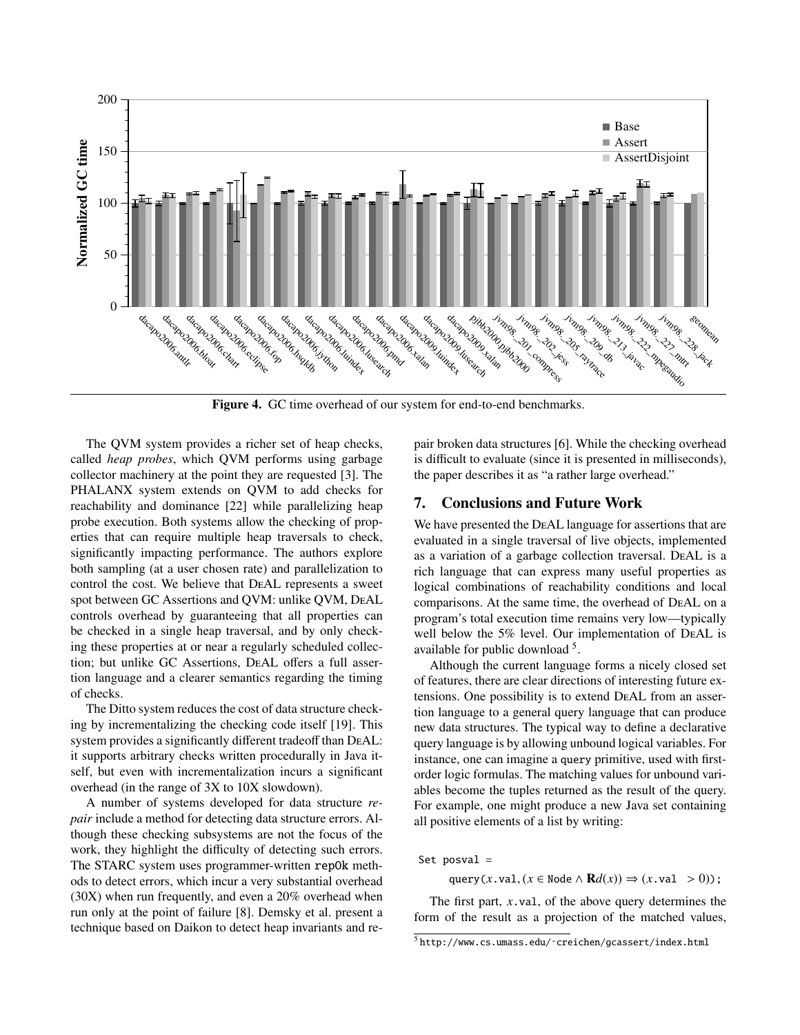

Figure 4. GC time overhead of our system for end-to-end benchmarks.

The QVM system provides a richer set of heap checks, called *heap probes*, which QVM performs using garbage collector machinery at the point they are requested [3]. The PHALANX system extends on QVM to add checks for reachability and dominance [22] while parallelizing heap probe execution. Both systems allow the checking of properties that can require multiple heap traversals to check, significantly impacting performance. The authors explore both sampling (at a user chosen rate) and parallelization to control the cost. We believe that DeAL represents a sweet spot between GC Assertions and QVM: unlike QVM, DeAL controls overhead by guaranteeing that all properties can be checked in a single heap traversal, and by only checking these properties at or near a regularly scheduled collection; but unlike GC Assertions, DeAL offers a full assertion language and a clearer semantics regarding the timing of checks.

The Ditto system reduces the cost of data structure checking by incrementalizing the checking code itself [19]. This system provides a significantly different tradeoff than DeAL: it supports arbitrary checks written procedurally in Java itself, but even with incrementalization incurs a significant overhead (in the range of 3X to 10X slowdown).

A number of systems developed for data structure *repair* include a method for detecting data structure errors. Although these checking subsystems are not the focus of the work, they highlight the difficulty of detecting such errors. The STARC system uses programmer-written repOk methods to detect errors, which incur a very substantial overhead (30X) when run frequently, and even a 20% overhead when run only at the point of failure [8]. Demsky et al. present a technique based on Daikon to detect heap invariants and repair broken data structures [6]. While the checking overhead is difficult to evaluate (since it is presented in milliseconds), the paper describes it as "a rather large overhead."

### 7. Conclusions and Future Work

We have presented the DeAL language for assertions that are evaluated in a single traversal of live objects, implemented as a variation of a garbage collection traversal. DeAL is a rich language that can express many useful properties as logical combinations of reachability conditions and local comparisons. At the same time, the overhead of DeAL on a program's total execution time remains very low—typically well below the 5% level. Our implementation of DeAL is available for public download <sup>5</sup>.

Although the current language forms a nicely closed set of features, there are clear directions of interesting future extensions. One possibility is to extend DeAL from an assertion language to a general query language that can produce new data structures. The typical way to define a declarative query language is by allowing unbound logical variables. For instance, one can imagine a query primitive, used with firstorder logic formulas. The matching values for unbound variables become the tuples returned as the result of the query. For example, one might produce a new Java set containing all positive elements of a list by writing:

Set posval =

query(*x*.val, ( $x \in \text{Node} \land \mathbf{R}d(x) \Rightarrow (x \cdot \text{val} > 0)$ );

The first part, *x*.val, of the above query determines the form of the result as a projection of the matched values,

<sup>5</sup> http://www.cs.umass.edu/˜creichen/gcassert/index.html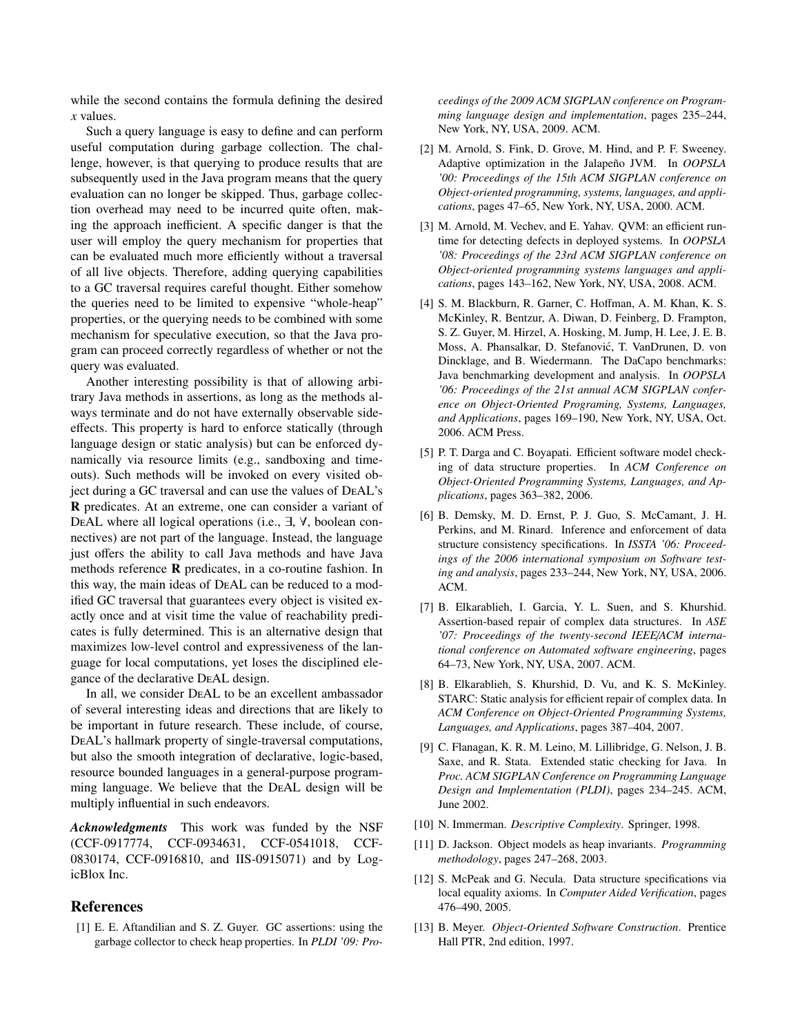while the second contains the formula defining the desired *x* values.

Such a query language is easy to define and can perform useful computation during garbage collection. The challenge, however, is that querying to produce results that are subsequently used in the Java program means that the query evaluation can no longer be skipped. Thus, garbage collection overhead may need to be incurred quite often, making the approach inefficient. A specific danger is that the user will employ the query mechanism for properties that can be evaluated much more efficiently without a traversal of all live objects. Therefore, adding querying capabilities to a GC traversal requires careful thought. Either somehow the queries need to be limited to expensive "whole-heap" properties, or the querying needs to be combined with some mechanism for speculative execution, so that the Java program can proceed correctly regardless of whether or not the query was evaluated.

Another interesting possibility is that of allowing arbitrary Java methods in assertions, as long as the methods always terminate and do not have externally observable sideeffects. This property is hard to enforce statically (through language design or static analysis) but can be enforced dynamically via resource limits (e.g., sandboxing and timeouts). Such methods will be invoked on every visited object during a GC traversal and can use the values of DeAL's R predicates. At an extreme, one can consider a variant of DeAL where all logical operations (i.e., ∃, ∀, boolean connectives) are not part of the language. Instead, the language just offers the ability to call Java methods and have Java methods reference R predicates, in a co-routine fashion. In this way, the main ideas of DeAL can be reduced to a modified GC traversal that guarantees every object is visited exactly once and at visit time the value of reachability predicates is fully determined. This is an alternative design that maximizes low-level control and expressiveness of the language for local computations, yet loses the disciplined elegance of the declarative DeAL design.

In all, we consider DeAL to be an excellent ambassador of several interesting ideas and directions that are likely to be important in future research. These include, of course, DeAL's hallmark property of single-traversal computations, but also the smooth integration of declarative, logic-based, resource bounded languages in a general-purpose programming language. We believe that the DeAL design will be multiply influential in such endeavors.

*Acknowledgments* This work was funded by the NSF (CCF-0917774, CCF-0934631, CCF-0541018, CCF-0830174, CCF-0916810, and IIS-0915071) and by LogicBlox Inc.

### References

[1] E. E. Aftandilian and S. Z. Guyer. GC assertions: using the garbage collector to check heap properties. In *PLDI '09: Pro-* *ceedings of the 2009 ACM SIGPLAN conference on Programming language design and implementation*, pages 235–244, New York, NY, USA, 2009. ACM.

- [2] M. Arnold, S. Fink, D. Grove, M. Hind, and P. F. Sweeney. Adaptive optimization in the Jalapeño JVM. In OOPSLA *'00: Proceedings of the 15th ACM SIGPLAN conference on Object-oriented programming, systems, languages, and applications*, pages 47–65, New York, NY, USA, 2000. ACM.
- [3] M. Arnold, M. Vechev, and E. Yahav. QVM: an efficient runtime for detecting defects in deployed systems. In *OOPSLA '08: Proceedings of the 23rd ACM SIGPLAN conference on Object-oriented programming systems languages and applications*, pages 143–162, New York, NY, USA, 2008. ACM.
- [4] S. M. Blackburn, R. Garner, C. Hoffman, A. M. Khan, K. S. McKinley, R. Bentzur, A. Diwan, D. Feinberg, D. Frampton, S. Z. Guyer, M. Hirzel, A. Hosking, M. Jump, H. Lee, J. E. B. Moss, A. Phansalkar, D. Stefanović, T. VanDrunen, D. von Dincklage, and B. Wiedermann. The DaCapo benchmarks: Java benchmarking development and analysis. In *OOPSLA '06: Proceedings of the 21st annual ACM SIGPLAN conference on Object-Oriented Programing, Systems, Languages, and Applications*, pages 169–190, New York, NY, USA, Oct. 2006. ACM Press.
- [5] P. T. Darga and C. Boyapati. Efficient software model checking of data structure properties. In *ACM Conference on Object-Oriented Programming Systems, Languages, and Applications*, pages 363–382, 2006.
- [6] B. Demsky, M. D. Ernst, P. J. Guo, S. McCamant, J. H. Perkins, and M. Rinard. Inference and enforcement of data structure consistency specifications. In *ISSTA '06: Proceedings of the 2006 international symposium on Software testing and analysis*, pages 233–244, New York, NY, USA, 2006. ACM.
- [7] B. Elkarablieh, I. Garcia, Y. L. Suen, and S. Khurshid. Assertion-based repair of complex data structures. In *ASE '07: Proceedings of the twenty-second IEEE*/*ACM international conference on Automated software engineering*, pages 64–73, New York, NY, USA, 2007. ACM.
- [8] B. Elkarablieh, S. Khurshid, D. Vu, and K. S. McKinley. STARC: Static analysis for efficient repair of complex data. In *ACM Conference on Object-Oriented Programming Systems, Languages, and Applications*, pages 387–404, 2007.
- [9] C. Flanagan, K. R. M. Leino, M. Lillibridge, G. Nelson, J. B. Saxe, and R. Stata. Extended static checking for Java. In *Proc. ACM SIGPLAN Conference on Programming Language Design and Implementation (PLDI)*, pages 234–245. ACM, June 2002.
- [10] N. Immerman. *Descriptive Complexity*. Springer, 1998.
- [11] D. Jackson. Object models as heap invariants. *Programming methodology*, pages 247–268, 2003.
- [12] S. McPeak and G. Necula. Data structure specifications via local equality axioms. In *Computer Aided Verification*, pages 476–490, 2005.
- [13] B. Meyer. *Object-Oriented Software Construction*. Prentice Hall PTR, 2nd edition, 1997.